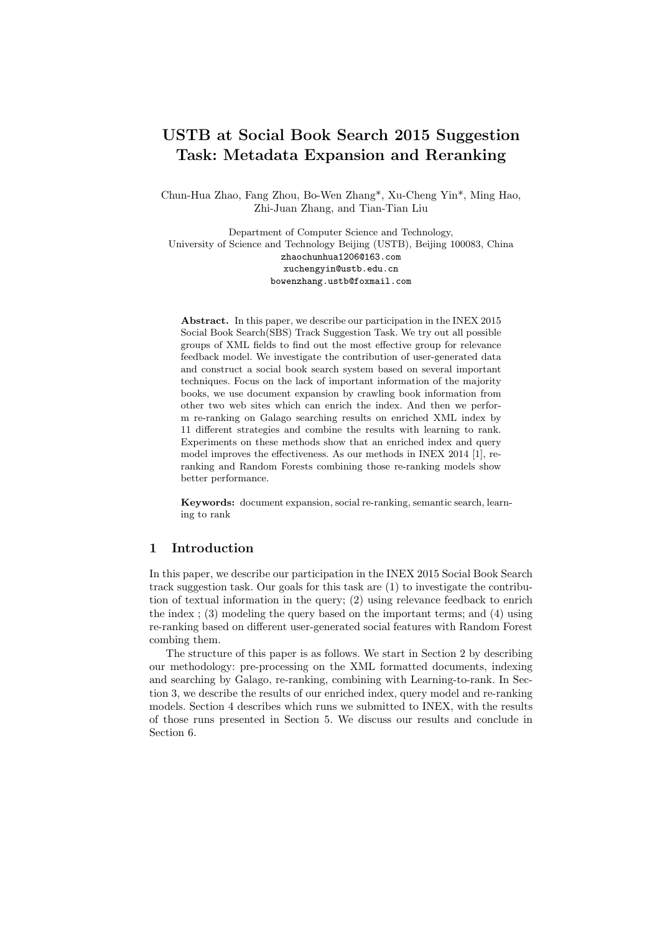# USTB at Social Book Search 2015 Suggestion Task: Metadata Expansion and Reranking

Chun-Hua Zhao, Fang Zhou, Bo-Wen Zhang\*, Xu-Cheng Yin\*, Ming Hao, Zhi-Juan Zhang, and Tian-Tian Liu

Department of Computer Science and Technology, University of Science and Technology Beijing (USTB), Beijing 100083, China zhaochunhua1206@163.com xuchengyin@ustb.edu.cn bowenzhang.ustb@foxmail.com

Abstract. In this paper, we describe our participation in the INEX 2015 Social Book Search(SBS) Track Suggestion Task. We try out all possible groups of XML fields to find out the most effective group for relevance feedback model. We investigate the contribution of user-generated data and construct a social book search system based on several important techniques. Focus on the lack of important information of the majority books, we use document expansion by crawling book information from other two web sites which can enrich the index. And then we perform re-ranking on Galago searching results on enriched XML index by 11 different strategies and combine the results with learning to rank. Experiments on these methods show that an enriched index and query model improves the effectiveness. As our methods in INEX 2014 [1], reranking and Random Forests combining those re-ranking models show better performance.

Keywords: document expansion, social re-ranking, semantic search, learning to rank

## 1 Introduction

In this paper, we describe our participation in the INEX 2015 Social Book Search track suggestion task. Our goals for this task are (1) to investigate the contribution of textual information in the query; (2) using relevance feedback to enrich the index ; (3) modeling the query based on the important terms; and (4) using re-ranking based on different user-generated social features with Random Forest combing them.

The structure of this paper is as follows. We start in Section 2 by describing our methodology: pre-processing on the XML formatted documents, indexing and searching by Galago, re-ranking, combining with Learning-to-rank. In Section 3, we describe the results of our enriched index, query model and re-ranking models. Section 4 describes which runs we submitted to INEX, with the results of those runs presented in Section 5. We discuss our results and conclude in Section 6.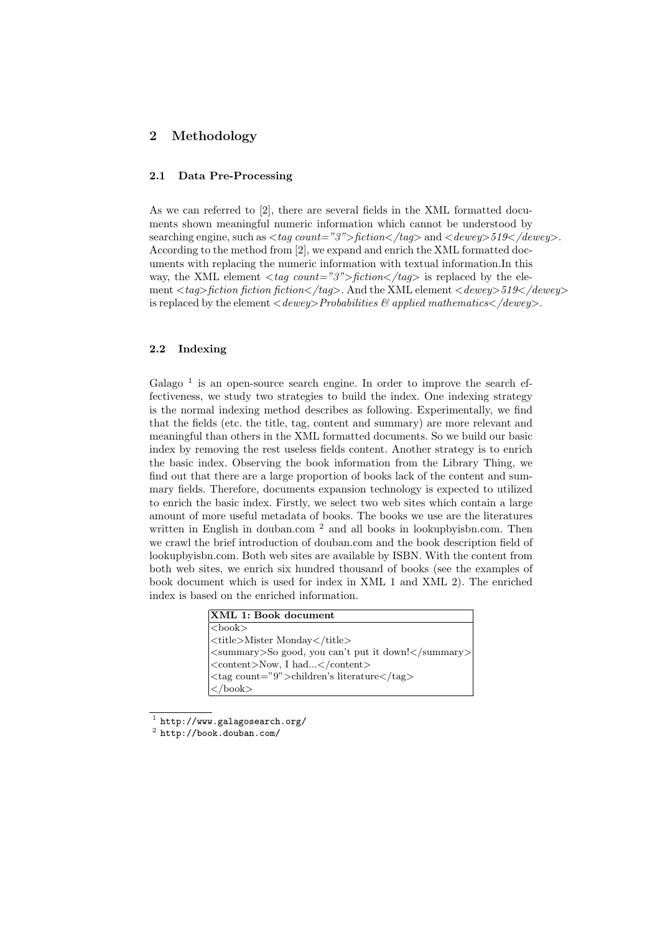## 2 Methodology

## 2.1 Data Pre-Processing

As we can referred to [2], there are several fields in the XML formatted documents shown meaningful numeric information which cannot be understood by searching engine, such as  $\langle taq\ count="3" \rangle$  fiction $\langle taq \rangle$  and  $\langle dewey \rangle$  519 $\langle dewey \rangle$ . According to the method from [2], we expand and enrich the XML formatted documents with replacing the numeric information with textual information.In this way, the XML element  $\langle \text{tag count} = 3 \rangle$  fiction $\langle \text{tag} \rangle$  is replaced by the element  $\langle \text{tag}\rangle$  fiction fiction  $\langle \text{factor}\rangle$  and the XML element  $\langle \text{dewey}\rangle$  519 $\langle \text{dewey}\rangle$ is replaced by the element  $\langle \text{dewey} \rangle$  Probabilities  $\mathcal C$  applied mathematics  $\langle \text{dewey} \rangle$ .

## 2.2 Indexing

Galago<sup>1</sup> is an open-source search engine. In order to improve the search effectiveness, we study two strategies to build the index. One indexing strategy is the normal indexing method describes as following. Experimentally, we find that the fields (etc. the title, tag, content and summary) are more relevant and meaningful than others in the XML formatted documents. So we build our basic index by removing the rest useless fields content. Another strategy is to enrich the basic index. Observing the book information from the Library Thing, we find out that there are a large proportion of books lack of the content and summary fields. Therefore, documents expansion technology is expected to utilized to enrich the basic index. Firstly, we select two web sites which contain a large amount of more useful metadata of books. The books we use are the literatures written in English in douban.com <sup>2</sup> and all books in lookupbyisbn.com. Then we crawl the brief introduction of douban.com and the book description field of lookupbyisbn.com. Both web sites are available by ISBN. With the content from both web sites, we enrich six hundred thousand of books (see the examples of book document which is used for index in XML 1 and XML 2). The enriched index is based on the enriched information.

| XML 1: Book document                               |
|----------------------------------------------------|
| $ \text{}$                                         |
| <title>Mister Monday</title>                       |
| <summary>So good, you can't put it down!</summary> |
| <content>Now, I had</content>                      |
| <tag count="9">children's literature</tag>         |
| $\vert$                                            |

 $^1$  http://www.galagosearch.org/

 $^2$  http://book.douban.com/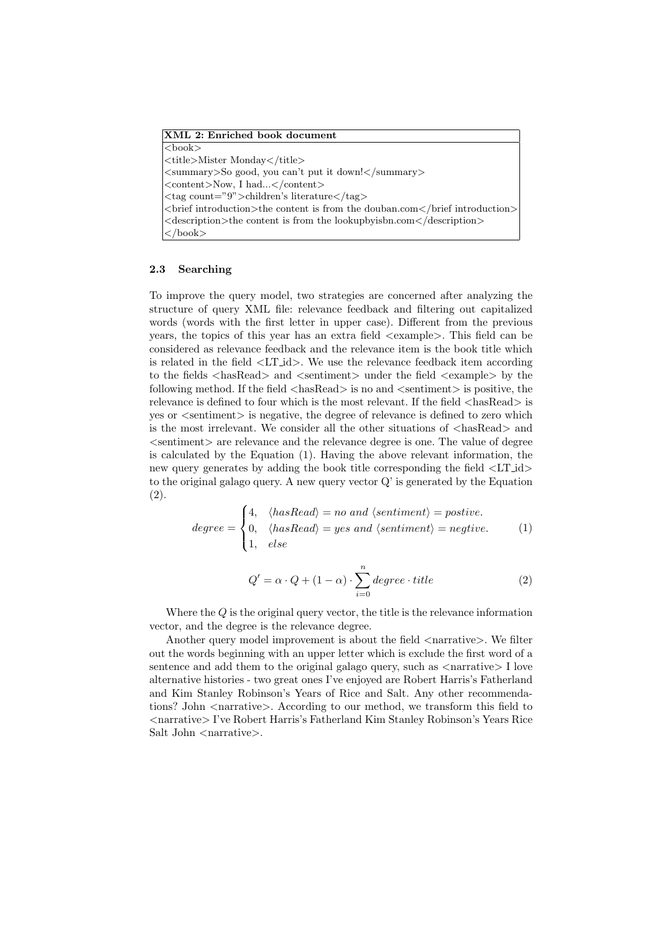| XML 2: Enriched book document                                                                   |
|-------------------------------------------------------------------------------------------------|
| $3$                                                                                             |
| <title>Mister Monday</title>                                                                    |
| $\langle$ summary>So good, you can't put it down! $\langle$ /summary>                           |
| <content>Now, I had</content>                                                                   |
| <tag count="9">children's literature</tag>                                                      |
| <br>strict introduction>the content is from the douban.com                                      |
| $\leq$ description $\geq$ the content is from the lookup by ison. com $\leq$ description $\geq$ |
| $\vert \lt/\text{book}\gt$                                                                      |

#### 2.3 Searching

To improve the query model, two strategies are concerned after analyzing the structure of query XML file: relevance feedback and filtering out capitalized words (words with the first letter in upper case). Different from the previous years, the topics of this year has an extra field <example>. This field can be considered as relevance feedback and the relevance item is the book title which is related in the field <LT id>. We use the relevance feedback item according to the fields <hasRead> and <sentiment> under the field <example> by the following method. If the field  $\langle$ hasRead $\rangle$  is no and  $\langle$  sentiment $\rangle$  is positive, the relevance is defined to four which is the most relevant. If the field  $\langle$ hasRead $\rangle$  is yes or <sentiment> is negative, the degree of relevance is defined to zero which is the most irrelevant. We consider all the other situations of  $\langle$ hasRead $\rangle$  and  $\le$ sentiment $\ge$  are relevance and the relevance degree is one. The value of degree is calculated by the Equation (1). Having the above relevant information, the new query generates by adding the book title corresponding the field <LT id> to the original galago query. A new query vector Q' is generated by the Equation (2).

$$
degree = \begin{cases} 4, & \langle hasRead \rangle = no \ and \ \langle sentiment \rangle = positive. \\ 0, & \langle hasRead \rangle = yes \ and \ \langle sentiment \rangle = negative. \\ 1, & else \end{cases}
$$
 (1)

$$
Q' = \alpha \cdot Q + (1 - \alpha) \cdot \sum_{i=0}^{n} degree \cdot title \tag{2}
$$

Where the Q is the original query vector, the title is the relevance information vector, and the degree is the relevance degree.

Another query model improvement is about the field  $\langle$  narrative $\rangle$ . We filter out the words beginning with an upper letter which is exclude the first word of a sentence and add them to the original galago query, such as  $\langle$ narrative $\rangle$  I love alternative histories - two great ones I've enjoyed are Robert Harris's Fatherland and Kim Stanley Robinson's Years of Rice and Salt. Any other recommendations? John <narrative>. According to our method, we transform this field to <narrative> I've Robert Harris's Fatherland Kim Stanley Robinson's Years Rice Salt John  $\langle$  narrative $\rangle$ .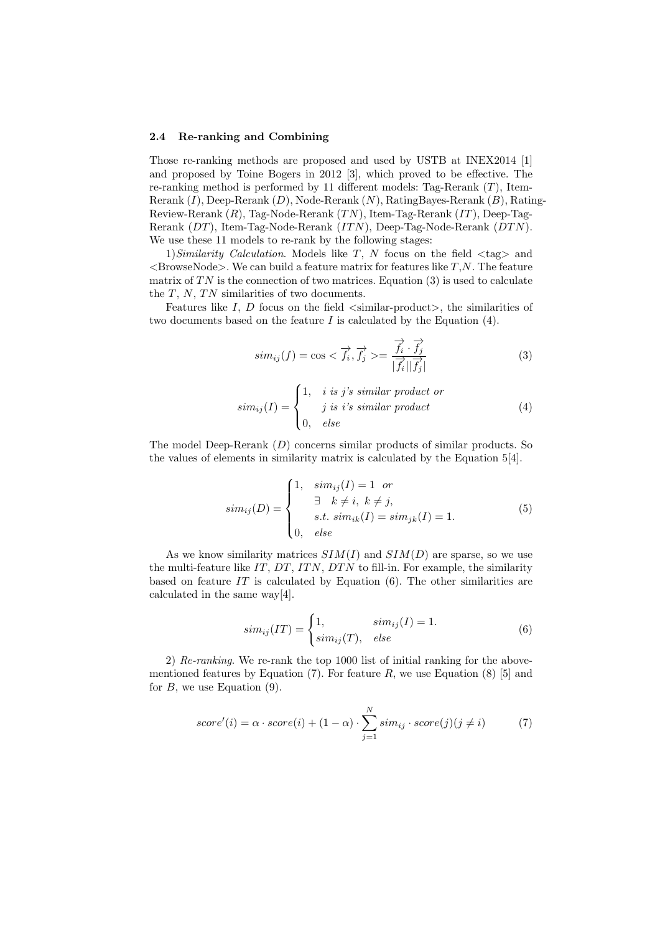#### 2.4 Re-ranking and Combining

Those re-ranking methods are proposed and used by USTB at INEX2014 [1] and proposed by Toine Bogers in 2012 [3], which proved to be effective. The re-ranking method is performed by 11 different models: Tag-Rerank  $(T)$ , Item-Rerank  $(I)$ , Deep-Rerank  $(D)$ , Node-Rerank  $(N)$ , RatingBayes-Rerank  $(B)$ , Rating-Review-Rerank  $(R)$ , Tag-Node-Rerank  $(TN)$ , Item-Tag-Rerank  $(TT)$ , Deep-Tag-Rerank  $(DT)$ , Item-Tag-Node-Rerank  $(TTN)$ , Deep-Tag-Node-Rerank  $(DTN)$ . We use these 11 models to re-rank by the following stages:

1) Similarity Calculation. Models like T, N focus on the field  $\langle \text{tag}\rangle$  and  $\langle$ BrowseNode>. We can build a feature matrix for features like  $T, N$ . The feature matrix of  $TN$  is the connection of two matrices. Equation (3) is used to calculate the  $T$ ,  $N$ ,  $TN$  similarities of two documents.

Features like I, D focus on the field  $\langle$ similar-product $\rangle$ , the similarities of two documents based on the feature  $I$  is calculated by the Equation  $(4)$ .

$$
sim_{ij}(f) = \cos < \overrightarrow{f_i}, \overrightarrow{f_j} > = \frac{\overrightarrow{f_i} \cdot \overrightarrow{f_j}}{|\overrightarrow{f_i}||\overrightarrow{f_j}|} \tag{3}
$$

$$
sim_{ij}(I) = \begin{cases} 1, & i \text{ is } j's \text{ similar product or} \\ & j \text{ is } i's \text{ similar product} \\ 0, & else \end{cases}
$$
(4)

The model Deep-Rerank  $(D)$  concerns similar products of similar products. So the values of elements in similarity matrix is calculated by the Equation 5[4].

$$
sim_{ij}(D) = \begin{cases} 1, & sim_{ij}(I) = 1 \text{ or} \\ & \exists k \neq i, k \neq j, \\ & s.t. \ sim_{ik}(I) = sim_{jk}(I) = 1. \\ 0, & else \end{cases}
$$
(5)

As we know similarity matrices  $SIM(I)$  and  $SIM(D)$  are sparse, so we use the multi-feature like  $IT, DT, ITN, DTN$  to fill-in. For example, the similarity based on feature  $IT$  is calculated by Equation  $(6)$ . The other similarities are calculated in the same way[4].

$$
sim_{ij}(IT) = \begin{cases} 1, & sim_{ij}(I) = 1. \\ sim_{ij}(T), & else \end{cases}
$$
 (6)

2) Re-ranking. We re-rank the top 1000 list of initial ranking for the abovementioned features by Equation (7). For feature  $R$ , we use Equation (8) [5] and for  $B$ , we use Equation  $(9)$ .

$$
score'(i) = \alpha \cdot score(i) + (1 - \alpha) \cdot \sum_{j=1}^{N} sim_{ij} \cdot score(j) (j \neq i)
$$
 (7)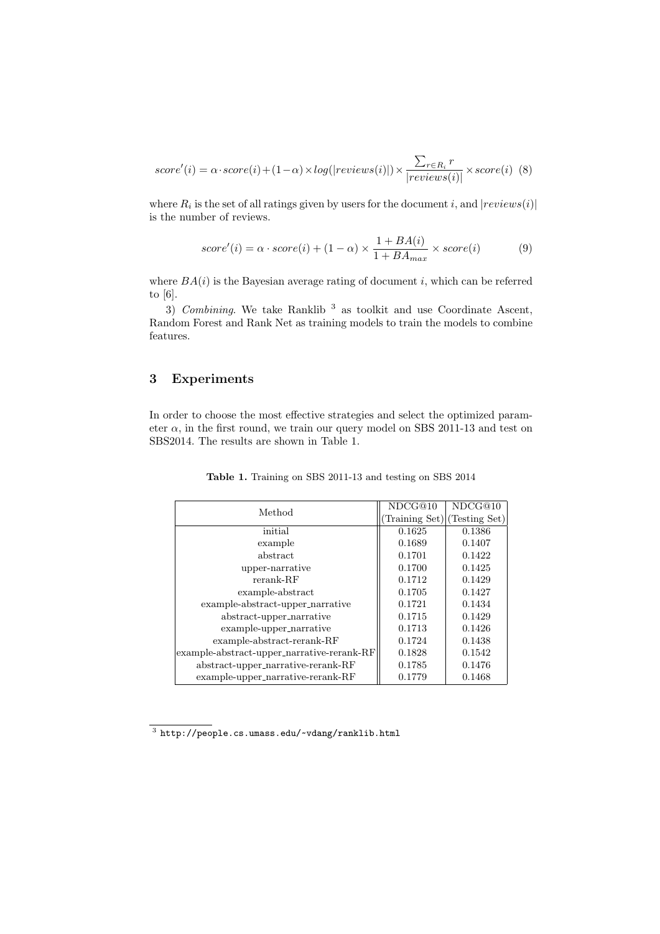$$
score'(i) = \alpha \cdot score(i) + (1 - \alpha) \times log(|reviews(i)|) \times \frac{\sum_{r \in R_i} r}{|reviews(i)|} \times score(i)
$$
 (8)

where  $R_i$  is the set of all ratings given by users for the document i, and  $|reviews(i)|$ is the number of reviews.

$$
score'(i) = \alpha \cdot score(i) + (1 - \alpha) \times \frac{1 + BA(i)}{1 + BA_{max}} \times score(i)
$$
 (9)

where  $BA(i)$  is the Bayesian average rating of document i, which can be referred to [6].

3) Combining. We take Ranklib<sup>3</sup> as toolkit and use Coordinate Ascent, Random Forest and Rank Net as training models to train the models to combine features.

# 3 Experiments

In order to choose the most effective strategies and select the optimized parameter  $\alpha$ , in the first round, we train our query model on SBS 2011-13 and test on SBS2014. The results are shown in Table 1.

| Method                                     | NDCG@10       | NDCG@10       |
|--------------------------------------------|---------------|---------------|
|                                            | Training Set) | (Testing Set) |
| initial                                    | 0.1625        | 0.1386        |
| example                                    | 0.1689        | 0.1407        |
| abstract                                   | 0.1701        | 0.1422        |
| upper-narrative                            | 0.1700        | 0.1425        |
| $rerank-RF$                                | 0.1712        | 0.1429        |
| example-abstract                           | 0.1705        | 0.1427        |
| example-abstract-upper_narrative           | 0.1721        | 0.1434        |
| abstract-upper_narrative                   | 0.1715        | 0.1429        |
| example-upper_narrative                    | 0.1713        | 0.1426        |
| $example-abstract-rerank-RF$               | 0.1724        | 0.1438        |
| example-abstract-upper_narrative-rerank-RF | 0.1828        | 0.1542        |
| abstract-upper_narrative-rerank-RF         | 0.1785        | 0.1476        |
| example-upper_narrative-rerank-RF          | 0.1779        | 0.1468        |

Table 1. Training on SBS 2011-13 and testing on SBS 2014

 $^3$  http://people.cs.umass.edu/~vdang/ranklib.html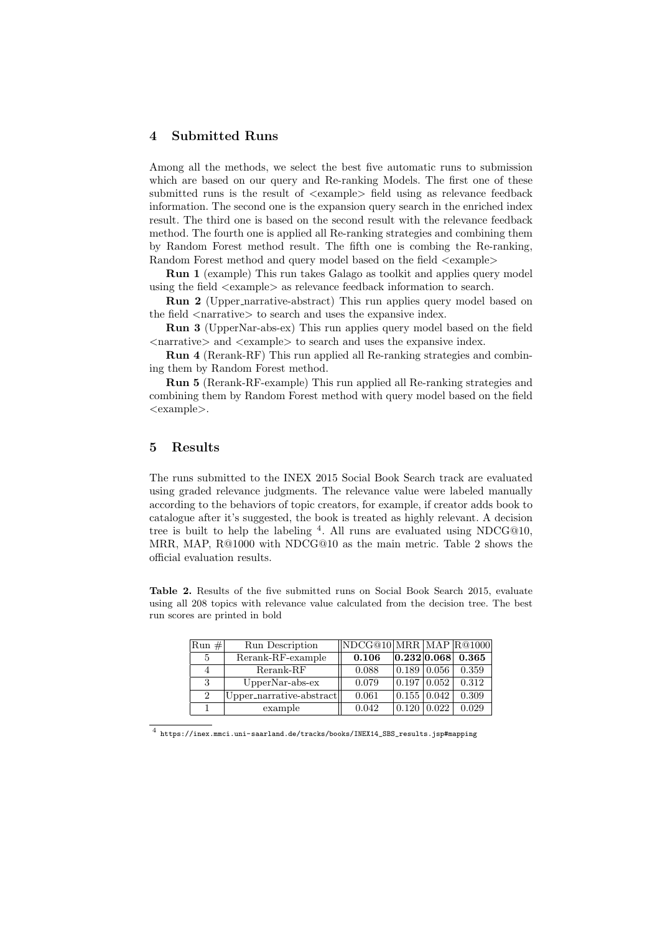## 4 Submitted Runs

Among all the methods, we select the best five automatic runs to submission which are based on our query and Re-ranking Models. The first one of these submitted runs is the result of  $\langle \text{example} \rangle$  field using as relevance feedback information. The second one is the expansion query search in the enriched index result. The third one is based on the second result with the relevance feedback method. The fourth one is applied all Re-ranking strategies and combining them by Random Forest method result. The fifth one is combing the Re-ranking, Random Forest method and query model based on the field  $\langle$ example $\rangle$ 

Run 1 (example) This run takes Galago as toolkit and applies query model using the field <example> as relevance feedback information to search.

Run 2 (Upper narrative-abstract) This run applies query model based on the field  $\langle$  narrative $\rangle$  to search and uses the expansive index.

Run 3 (UpperNar-abs-ex) This run applies query model based on the field <narrative> and <example> to search and uses the expansive index.

Run 4 (Rerank-RF) This run applied all Re-ranking strategies and combining them by Random Forest method.

Run 5 (Rerank-RF-example) This run applied all Re-ranking strategies and combining them by Random Forest method with query model based on the field <example>.

## 5 Results

The runs submitted to the INEX 2015 Social Book Search track are evaluated using graded relevance judgments. The relevance value were labeled manually according to the behaviors of topic creators, for example, if creator adds book to catalogue after it's suggested, the book is treated as highly relevant. A decision tree is built to help the labeling  $4$ . All runs are evaluated using NDCG@10, MRR, MAP, R@1000 with NDCG@10 as the main metric. Table 2 shows the official evaluation results.

Table 2. Results of the five submitted runs on Social Book Search 2015, evaluate using all 208 topics with relevance value calculated from the decision tree. The best run scores are printed in bold

| $\left \text{Run}\,\,\# \right $ | Run Description          | NDCG@10  MRR   MAP  R@1000 |                    |             |       |
|----------------------------------|--------------------------|----------------------------|--------------------|-------------|-------|
| $\overline{5}$                   | Rerank-RF-example        | 0.106                      |                    | 0.232 0.068 | 0.365 |
| 4                                | $R$ erank- $RF$          | 0.088                      | $0.189 \mid 0.056$ |             | 0.359 |
| 3                                | $Upper Nar-abs-ex$       | 0.079                      | $0.197 \mid 0.052$ |             | 0.312 |
| $\overline{2}$                   | Upper_narrative-abstract | 0.061                      | 0.155   0.042      |             | 0.309 |
|                                  | example                  | 0.042                      | 0.120              | 0.022       | 0.029 |

4 https://inex.mmci.uni-saarland.de/tracks/books/INEX14\_SBS\_results.jsp#mapping